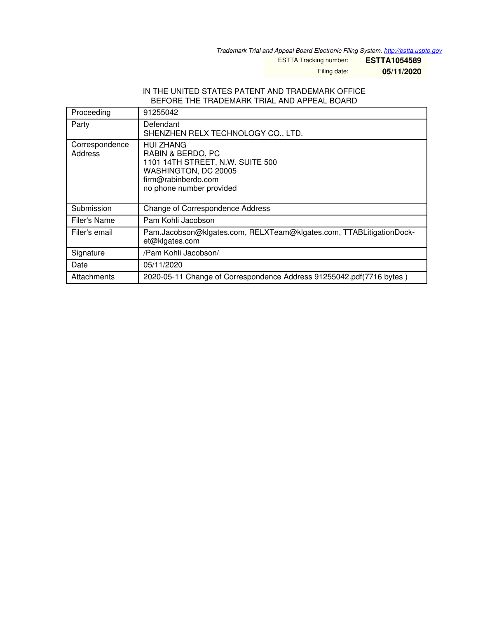*Trademark Trial and Appeal Board Electronic Filing System. <http://estta.uspto.gov>*

ESTTA Tracking number: **ESTTA1054589**

Filing date: **05/11/2020**

## IN THE UNITED STATES PATENT AND TRADEMARK OFFICE BEFORE THE TRADEMARK TRIAL AND APPEAL BOARD

| Proceeding                | 91255042                                                                                                                                             |  |
|---------------------------|------------------------------------------------------------------------------------------------------------------------------------------------------|--|
| Party                     | Defendant<br>SHENZHEN RELX TECHNOLOGY CO., LTD.                                                                                                      |  |
| Correspondence<br>Address | <b>HUI ZHANG</b><br>RABIN & BERDO, PC<br>1101 14TH STREET, N.W. SUITE 500<br>WASHINGTON, DC 20005<br>firm@rabinberdo.com<br>no phone number provided |  |
| Submission                | Change of Correspondence Address                                                                                                                     |  |
| Filer's Name              | Pam Kohli Jacobson                                                                                                                                   |  |
| Filer's email             | Pam.Jacobson@klgates.com, RELXTeam@klgates.com, TTABLitigationDock-<br>et@klgates.com                                                                |  |
| Signature                 | /Pam Kohli Jacobson/                                                                                                                                 |  |
| Date                      | 05/11/2020                                                                                                                                           |  |
| Attachments               | 2020-05-11 Change of Correspondence Address 91255042.pdf(7716 bytes)                                                                                 |  |